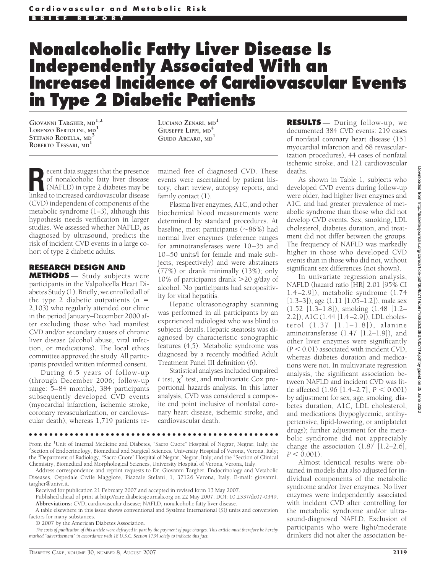# **Nonalcoholic Fatty Liver Disease Is Independently Associated With an Increased Incidence of Cardiovascular Events in Type 2 Diabetic Patients**

**GIOVANNI TARGHER, MD1,2 LORENZO BERTOLINI, MD<sup>1</sup> STEFANO RODELLA, MD<sup>3</sup> ROBERTO TESSARI, MD<sup>1</sup>**

**LUCIANO ZENARI, MD<sup>1</sup> GIUSEPPE LIPPI, MD<sup>4</sup> GUIDO ARCARO, MD<sup>1</sup>**

**Recent data suggest that the presence<br>
of nonalcoholic fatty liver disease<br>
(NAFLD) in type 2 diabetes may be<br>
linked to increased cardiovascular disease** of nonalcoholic fatty liver disease linked to increased cardiovascular disease (CVD) independent of components of the metabolic syndrome (1–3), although this hypothesis needs verification in larger studies. We assessed whether NAFLD, as diagnosed by ultrasound, predicts the risk of incident CVD events in a large cohort of type 2 diabetic adults.

## **RESEARCH DESIGN AND**

**METHODS** — Study subjects were participants in the Valpolicella Heart Diabetes Study (1). Briefly, we enrolled all of the type 2 diabetic outpatients (*n* 2,103) who regularly attended our clinic in the period January–December 2000 after excluding those who had manifest CVD and/or secondary causes of chronic liver disease (alcohol abuse, viral infection, or medications). The local ethics committee approved the study. All participants provided written informed consent.

During 6.5 years of follow-up (through December 2006; follow-up range: 5–84 months), 384 participants subsequently developed CVD events (myocardial infarction, ischemic stroke, coronary revascularization, or cardiovascular death), whereas 1,719 patients re-

mained free of diagnosed CVD. These events were ascertained by patient history, chart review, autopsy reports, and family contact (1).

Plasma liver enzymes, A1C, and other biochemical blood measurements were determined by standard procedures. At baseline, most participants  $(\sim]86\%)$  had normal liver enzymes (reference ranges for aminotransferases were 10–35 and 10–50 units/l for female and male subjects, respectively) and were abstainers (77%) or drank minimally (13%); only 10% of participants drank 20 g/day of alcohol. No participants had seropositivity for viral hepatitis.

Hepatic ultrasonography scanning was performed in all participants by an experienced radiologist who was blind to subjects' details. Hepatic steatosis was diagnosed by characteristic sonographic features (4,5). Metabolic syndrome was diagnosed by a recently modified Adult Treatment Panel III definition (6).

Statistical analyses included unpaired *t* test,  $\chi^2$  test, and multivariate Cox proportional hazards analysis. In this latter analysis, CVD was considered a composite end point inclusive of nonfatal coronary heart disease, ischemic stroke, and cardiovascular death.

**RESULTS** — During follow-up, we documented 384 CVD events: 219 cases of nonfatal coronary heart disease (151 myocardial infarction and 68 revascularization procedures), 44 cases of nonfatal ischemic stroke, and 121 cardiovascular deaths.

As shown in Table 1, subjects who developed CVD events during follow-up were older, had higher liver enzymes and A1C, and had greater prevalence of metabolic syndrome than those who did not develop CVD events. Sex, smoking, LDL cholesterol, diabetes duration, and treatment did not differ between the groups. The frequency of NAFLD was markedly higher in those who developed CVD events than in those who did not, without significant sex differences (not shown).

In univariate regression analysis, NAFLD (hazard ratio [HR] 2.01 [95% CI 1.4–2.9]), metabolic syndrome (1.74 [1.3–3]), age (1.11 [1.05–1.2]), male sex (1.52 [1.3–1.8]), smoking (1.48 [1.2– 2.2]), A1C (1.44 [1.4–2.9]), LDL cholesterol (1.37 [1.1–1.8]), alanine aminotransferase (1.47 [1.2–1.9]), and other liver enzymes were significantly  $(P < 0.01)$  associated with incident CVD, whereas diabetes duration and medications were not. In multivariate regression analysis, the significant association between NAFLD and incident CVD was little affected  $(1.96 [1.4–2.7], P < 0.001)$ by adjustment for sex, age, smoking, diabetes duration, A1C, LDL cholesterol, and medications (hypoglycemic, antihypertensive, lipid-lowering, or antiplatelet drugs); further adjustment for the metabolic syndrome did not appreciably change the association  $(1.87 \nvert 1.2-2.6)$ ,  $P < 0.001$ .

Almost identical results were obtained in models that also adjusted for individual components of the metabolic syndrome and/or liver enzymes. No liver enzymes were independently associated with incident CVD after controlling for the metabolic syndrome and/or ultrasound-diagnosed NAFLD. Exclusion of participants who were light/moderate drinkers did not alter the association be-

●●●●●●●●●●●●●●●●●●●●●●●●●●●●●●●●●●●●●●●●●●●●●●●●●

From the <sup>1</sup>Unit of Internal Medicine and Diabetes, "Sacro Cuore" Hospital of Negrar, Negrar, Italy; the <sup>2</sup>Section of Endocripology, Biomedical and Surgical Sciences, University Hospital of Verona, Verona, Italy; <sup>2</sup>Section of Endocrinology, Biomedical and Surgical Sciences, University Hospital of Verona, Verona, Italy; the <sup>3</sup>Department of Radiology, "Sacro Cuore" Hospital of Negrar, Negrar, Italy; and the <sup>4</sup>Section of Clinical Chemistry, Biomedical and Morphological Sciences, University Hospital of Verona, Verona, Italy.

Address correspondence and reprint requests to Dr. Giovanni Targher, Endocrinology and Metabolic Diseases, Ospedale Civile Magglore, Piazzale Stefani, 1, 37126 Verona, Italy. E-mail: giovanni. targher@univr.it.

Received for publication 21 February 2007 and accepted in revised form 13 May 2007.

Published ahead of print at http://care.diabetesjournals.org on 22 May 2007. DOI: 10.2337/dc07-0349. **Abbreviations:** CVD, cardiovascular disease; NAFLD, nonalcoholic fatty liver disease.

A table elsewhere in this issue shows conventional and Système International (SI) units and conversion factors for many substances.

© 2007 by the American Diabetes Association.

*The costs of publication of this article were defrayed in part by the payment of page charges. This article must therefore be hereby marked "advertisement" in accordance with 18 U.S.C. Section 1734 solely to indicate this fact.*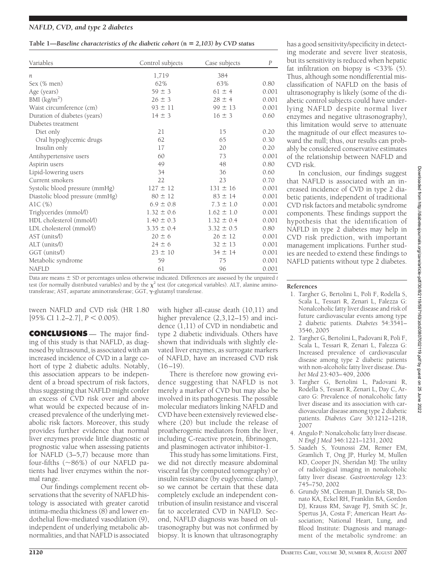## *NAFLD, CVD, and type 2 diabetes*

#### **Table 1—***Baseline characteristics of the diabetic cohort (***n** *2,103) by CVD status*

| Variables                       | Control subjects | Case subjects  | $\boldsymbol{P}$ |
|---------------------------------|------------------|----------------|------------------|
| $\boldsymbol{n}$                | 1,719            | 384            |                  |
| Sex (% men)                     | 62%              | 63%            | 0.80             |
| Age (years)                     | $59 \pm 3$       | $61 \pm 4$     | 0.001            |
| BMI $(kg/m2)$                   | $26 \pm 3$       | $28 \pm 4$     | 0.001            |
| Waist circumference (cm)        | $93 \pm 11$      | $99 \pm 13$    | 0.001            |
| Duration of diabetes (years)    | $14 \pm 3$       | $16 \pm 3$     | 0.60             |
| Diabetes treatment              |                  |                |                  |
| Diet only                       | 21               | 15             | 0.20             |
| Oral hypoglycemic drugs         | 62               | 65             | 0.30             |
| Insulin only                    | 17               | 20             | 0.20             |
| Antihypertensive users          | 60               | 73             | 0.001            |
| Aspirin users                   | 49               | 48             | 0.80             |
| Lipid-lowering users            | 34               | 36             | 0.60             |
| Current smokers                 | 22               | 23             | 0.70             |
| Systolic blood pressure (mmHg)  | $127 \pm 12$     | $131 \pm 16$   | 0.001            |
| Diastolic blood pressure (mmHg) | $80 \pm 12$      | $83 \pm 14$    | 0.001            |
| AlC $(\%)$                      | $6.9 \pm 0.8$    | $7.3 \pm 1.0$  | 0.001            |
| Triglycerides (mmol/l)          | $1.32 \pm 0.6$   | $1.62 \pm 1.0$ | 0.001            |
| HDL cholesterol (mmol/l)        | $1.40 \pm 0.3$   | $1.32 \pm 0.4$ | 0.001            |
| LDL cholesterol (mmol/l)        | $3.35 \pm 0.4$   | $3.32 \pm 0.5$ | 0.80             |
| AST (units/l)                   | $20 \pm 6$       | $26 \pm 12$    | 0.001            |
| ALT (units/l)                   | $24 \pm 6$       | $32 \pm 13$    | 0.001            |
| GGT (units/l)                   | $23 \pm 10$      | $34 \pm 14$    | 0.001            |
| Metabolic syndrome              | 59               | 75             | 0.001            |
| <b>NAFLD</b>                    | 61               | 96             | 0.001            |

Data are means  $\pm$  SD or percentages unless otherwise indicated. Differences are assessed by the unpaired *t* test (for normally distributed variables) and by the  $\chi^2$  test (for categorical variables). ALT, alanine aminotransferase; AST, aspartate aminotransferase; GGT,  $\gamma$ -glutamyl transferase.

tween NAFLD and CVD risk (HR 1.80  $[95\% \text{ CI } 1.2-2.7], P < 0.005$ ).

**CONCLUSIONS** — The major finding of this study is that NAFLD, as diagnosed by ultrasound, is associated with an increased incidence of CVD in a large cohort of type 2 diabetic adults. Notably, this association appears to be independent of a broad spectrum of risk factors, thus suggesting that NAFLD might confer an excess of CVD risk over and above what would be expected because of increased prevalence of the underlying metabolic risk factors. Moreover, this study provides further evidence that normal liver enzymes provide little diagnostic or prognostic value when assessing patients for NAFLD (3–5,7) because more than four-fifths (~86%) of our NAFLD patients had liver enzymes within the normal range.

Our findings complement recent observations that the severity of NAFLD histology is associated with greater carotid intima-media thickness (8) and lower endothelial flow-mediated vasodilation (9), independent of underlying metabolic abnormalities, and that NAFLD is associated

with higher all-cause death (10,11) and higher prevalence  $(2,3,12-15)$  and incidence (1,11) of CVD in nondiabetic and type 2 diabetic individuals. Others have shown that individuals with slightly elevated liver enzymes, as surrogate markers of NAFLD, have an increased CVD risk  $(16-19)$ .

There is therefore now growing evidence suggesting that NAFLD is not merely a marker of CVD but may also be involved in its pathogenesis. The possible molecular mediators linking NAFLD and CVD have been extensively reviewed elsewhere (20) but include the release of proatherogenic mediators from the liver, including C-reactive protein, fibrinogen, and plasminogen activator inhibitor-1.

This study has some limitations. First, we did not directly measure abdominal visceral fat (by computed tomography) or insulin resistance (by euglycemic clamp), so we cannot be certain that these data completely exclude an independent contribution of insulin resistance and visceral fat to accelerated CVD in NAFLD. Second, NAFLD diagnosis was based on ultrasonography but was not confirmed by biopsy. It is known that ultrasonography

ing moderate and severe liver steatosis, but its sensitivity is reduced when hepatic fat infiltration on biopsy is  $\leq 33\%$  (5). Thus, although some nondifferential misclassification of NAFLD on the basis of ultrasonography is likely (some of the diabetic control subjects could have underlying NAFLD despite normal liver enzymes and negative ultrasonography), this limitation would serve to attenuate the magnitude of our effect measures toward the null; thus, our results can probably be considered conservative estimates of the relationship between NAFLD and CVD risk. In conclusion, our findings suggest

has a good sensitivity/specificity in detect-

that NAFLD is associated with an increased incidence of CVD in type 2 diabetic patients, independent of traditional CVD risk factors and metabolic syndrome components. These findings support the hypothesis that the identification of NAFLD in type 2 diabetes may help in CVD risk prediction, with important management implications. Further studies are needed to extend these findings to NAFLD patients without type 2 diabetes.

#### **References**

- 1. Targher G, Bertolini L, Poli F, Rodella S, Scala L, Tessari R, Zenari L, Falezza G: Nonalcoholic fatty liver disease and risk of future cardiovascular events among type 2 diabetic patients. *Diabetes* 54:3541– 3546, 2005
- 2. Targher G, Bertolini L, Padovani R, Poli F, Scala L, Tessari R, Zenari L, Falezza G: Increased prevalence of cardiovascular disease among type 2 diabetic patients with non-alcoholic fatty liver disease.*Diabet Med* 23:403–409, 2006
- 3. Targher G, Bertolini L, Padovani R, Rodella S, Tessari R, Zenari L, Day C, Arcaro G: Prevalence of nonalcoholic fatty liver disease and its association with cardiovascular disease among type 2 diabetic patients. *Diabetes Care* 30:1212–1218, 2007
- 4. Angulo P: Nonalcoholic fatty liver disease. *N Engl J Med* 346:1221–1231, 2002
- 5. Saadeh S, Younossi ZM, Remer EM, Gramlich T, Ong JP, Hurley M, Mullen KD, Cooper JN, Sheridan MJ: The utility of radiological imaging in nonalcoholic fatty liver disease. *Gastroenterology* 123: 745–750, 2002
- 6. Grundy SM, Cleeman JI, Daniels SR, Donato KA, Eckel RH, Franklin BA, Gordon DJ, Krauss RM, Savage PJ, Smith SC Jr, Spertus JA, Costa F; American Heart Association; National Heart, Lung, and Blood Institute: Diagnosis and management of the metabolic syndrome: an